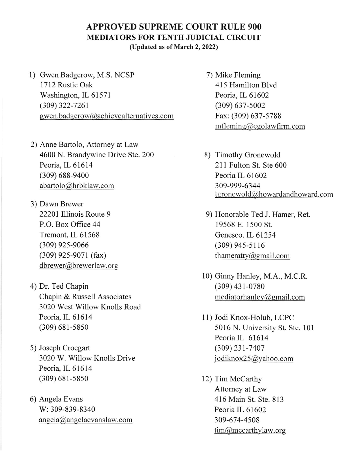## APPROVED SUPREME COURT RULE 9OO MEDIATORS FOR TENTH JUDICIAL CIRCUIT

(Updated as of March 2, 2022)

- l) Gwen Badgerow, M.S. NCSP 1712 Rustic Oak Washington, IL 61571 (309) 322-7261 gwen.badgerow@achievealternatives.com
- 2) Anne Bartolo, Attomey at Law 4600 N. Brandywine Drive Ste. 200 Peoria, IL 61614 (309) 688-9400 abartolo@hrbklaw.corn
- 3) Dawn Brewer 22201 lllinois Route 9 P.O. Box Office 44 Tremont, IL 61568 (309) 925-9066 (309) 92s-9071 (fax) dbrewer@brewerlaw. or
- 4) Dr. Ted Chapin Chapin & Russell Associates 3020 West Willow Knolls Road Peoria, IL 61614 (309) 681-s850
- 5) Joseph Croegart 3020 W. Willow Knolls Drive Peoria, IL 61614 (309) 681-5850
- 6) Angela Evans W:309-839-8340 angela@angelaevanslaw.com
- 7) Mike Fleming 415 Hamilton Blvd Peoria, lL 61602 (309) 637-s002 Fax: (309) 637-5788 mfleming@cgolawfirm.com
- 8) Timothy Gronewold 211 Fulton St. Ste 600 Peoria IL 61602 309-999-6344 tgronewold@howardandhoward.com
- 9) Honorable Ted J. Hamer, Ret. 19568 E. 1500 St. Geneseo, lL 61254 (309) 945-5116 thameratty  $\omega$  gmail.com
- 10) Ginny Hanley, M.A., M.C.R. (309) 43 1-0780 mediatorhanley@gmail.com
- <sup>I</sup>l) Jodi Knox-Holub, LCPC 5016 N. University St. Ste. 101 Peoria IL <sup>61614</sup> (309) 231-7407 iodiknox25@yahoo.com
- 12) Tim McCarthy Attomey at Law 416 Main St. Ste. 813 Peoria IL 61602 309-674-4508 tim@mccarthylaw.org